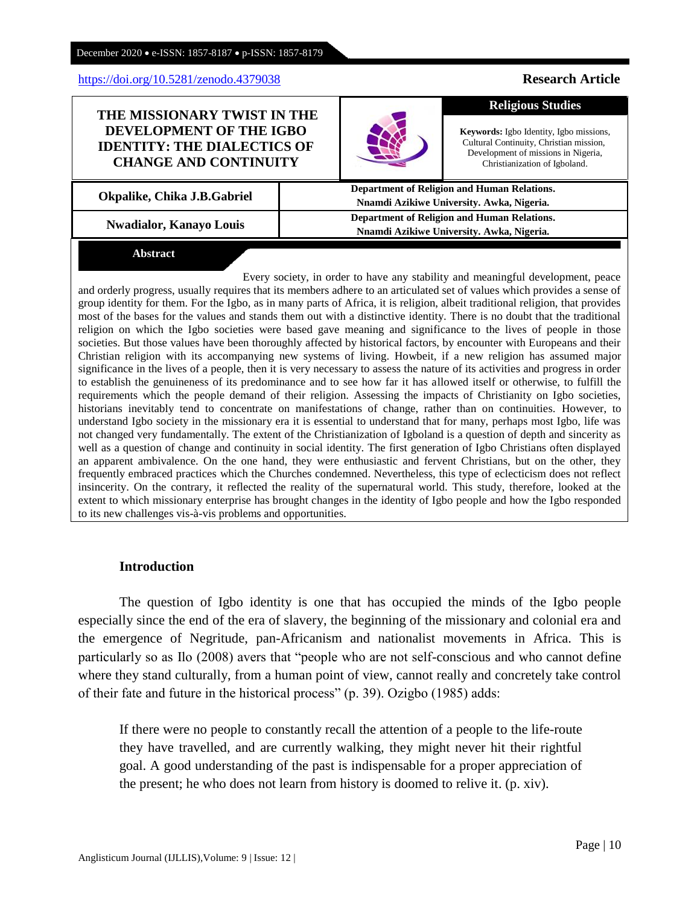## <https://doi.org/10.5281/zenodo.4379038> **Research Article**

## **THE MISSIONARY TWIST IN THE DEVELOPMENT OF THE IGBO IDENTITY: THE DIALECTICS OF CHANGE AND CONTINUITY**

**Okpalike, Chika J.B.Gabriel** <br> **Department of Religion and Human Relations.**<br> **Department of Religion and Human Relations.** 

**Nwadialor, Kanayo Louis Department of Religion and Human Relations. Department of Religion and Human Relations.** 

# **Abstract**

Every society, in order to have any stability and meaningful development, peace and orderly progress, usually requires that its members adhere to an articulated set of values which provides a sense of group identity for them. For the Igbo, as in many parts of Africa, it is religion, albeit traditional religion, that provides most of the bases for the values and stands them out with a distinctive identity. There is no doubt that the traditional religion on which the Igbo societies were based gave meaning and significance to the lives of people in those societies. But those values have been thoroughly affected by historical factors, by encounter with Europeans and their Christian religion with its accompanying new systems of living. Howbeit, if a new religion has assumed major significance in the lives of a people, then it is very necessary to assess the nature of its activities and progress in order to establish the genuineness of its predominance and to see how far it has allowed itself or otherwise, to fulfill the requirements which the people demand of their religion. Assessing the impacts of Christianity on Igbo societies, historians inevitably tend to concentrate on manifestations of change, rather than on continuities. However, to understand Igbo society in the missionary era it is essential to understand that for many, perhaps most Igbo, life was not changed very fundamentally. The extent of the Christianization of Igboland is a question of depth and sincerity as well as a question of change and continuity in social identity. The first generation of Igbo Christians often displayed an apparent ambivalence. On the one hand, they were enthusiastic and fervent Christians, but on the other, they frequently embraced practices which the Churches condemned. Nevertheless, this type of eclecticism does not reflect insincerity. On the contrary, it reflected the reality of the supernatural world. This study, therefore, looked at the extent to which missionary enterprise has brought changes in the identity of Igbo people and how the Igbo responded to its new challenges vis-à-vis problems and opportunities.

## **Introduction**

The question of Igbo identity is one that has occupied the minds of the Igbo people especially since the end of the era of slavery, the beginning of the missionary and colonial era and the emergence of Negritude, pan-Africanism and nationalist movements in Africa. This is particularly so as Ilo (2008) avers that "people who are not self-conscious and who cannot define where they stand culturally, from a human point of view, cannot really and concretely take control of their fate and future in the historical process" (p. 39). Ozigbo (1985) adds:

If there were no people to constantly recall the attention of a people to the life-route they have travelled, and are currently walking, they might never hit their rightful goal. A good understanding of the past is indispensable for a proper appreciation of the present; he who does not learn from history is doomed to relive it. (p. xiv).

Anglisticum Journal (IJLLIS)*,*Volume: 9 | Issue: 12 |

**Keywords:** Igbo Identity, Igbo missions, Cultural Continuity, Christian mission, Development of missions in Nigeria, Christianization of Igboland.

**Religious Studies**

**Nnamdi Azikiwe University. Awka, Nigeria.**

**Nnamdi Azikiwe University. Awka, Nigeria.**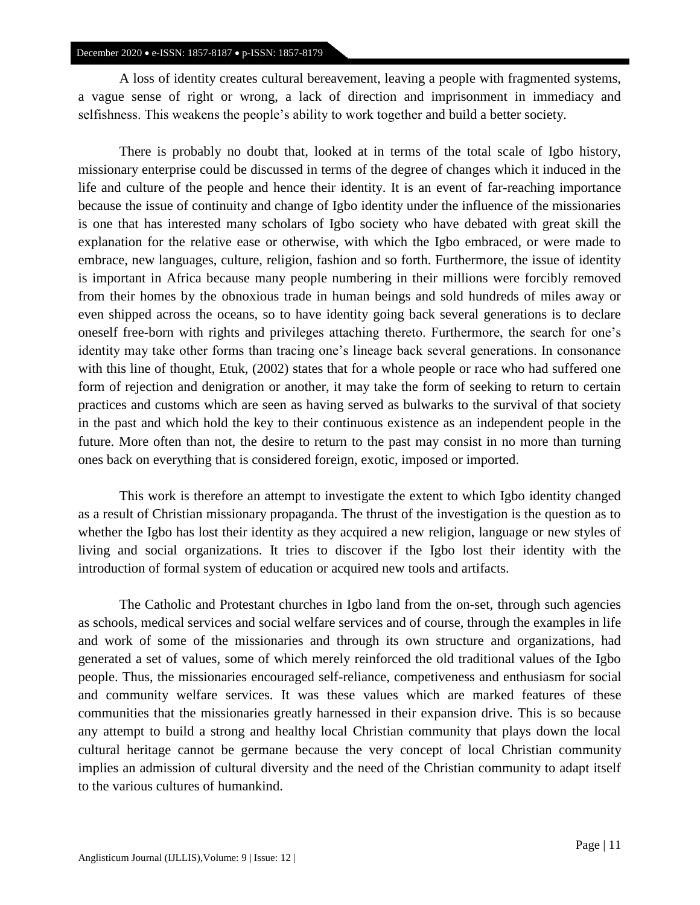A loss of identity creates cultural bereavement, leaving a people with fragmented systems, a vague sense of right or wrong, a lack of direction and imprisonment in immediacy and selfishness. This weakens the people's ability to work together and build a better society.

There is probably no doubt that, looked at in terms of the total scale of Igbo history, missionary enterprise could be discussed in terms of the degree of changes which it induced in the life and culture of the people and hence their identity. It is an event of far-reaching importance because the issue of continuity and change of Igbo identity under the influence of the missionaries is one that has interested many scholars of Igbo society who have debated with great skill the explanation for the relative ease or otherwise, with which the Igbo embraced, or were made to embrace, new languages, culture, religion, fashion and so forth. Furthermore, the issue of identity is important in Africa because many people numbering in their millions were forcibly removed from their homes by the obnoxious trade in human beings and sold hundreds of miles away or even shipped across the oceans, so to have identity going back several generations is to declare oneself free-born with rights and privileges attaching thereto. Furthermore, the search for one's identity may take other forms than tracing one's lineage back several generations. In consonance with this line of thought, Etuk, (2002) states that for a whole people or race who had suffered one form of rejection and denigration or another, it may take the form of seeking to return to certain practices and customs which are seen as having served as bulwarks to the survival of that society in the past and which hold the key to their continuous existence as an independent people in the future. More often than not, the desire to return to the past may consist in no more than turning ones back on everything that is considered foreign, exotic, imposed or imported.

This work is therefore an attempt to investigate the extent to which Igbo identity changed as a result of Christian missionary propaganda. The thrust of the investigation is the question as to whether the Igbo has lost their identity as they acquired a new religion, language or new styles of living and social organizations. It tries to discover if the Igbo lost their identity with the introduction of formal system of education or acquired new tools and artifacts.

The Catholic and Protestant churches in Igbo land from the on-set, through such agencies as schools, medical services and social welfare services and of course, through the examples in life and work of some of the missionaries and through its own structure and organizations, had generated a set of values, some of which merely reinforced the old traditional values of the Igbo people. Thus, the missionaries encouraged self-reliance, competiveness and enthusiasm for social and community welfare services. It was these values which are marked features of these communities that the missionaries greatly harnessed in their expansion drive. This is so because any attempt to build a strong and healthy local Christian community that plays down the local cultural heritage cannot be germane because the very concept of local Christian community implies an admission of cultural diversity and the need of the Christian community to adapt itself to the various cultures of humankind.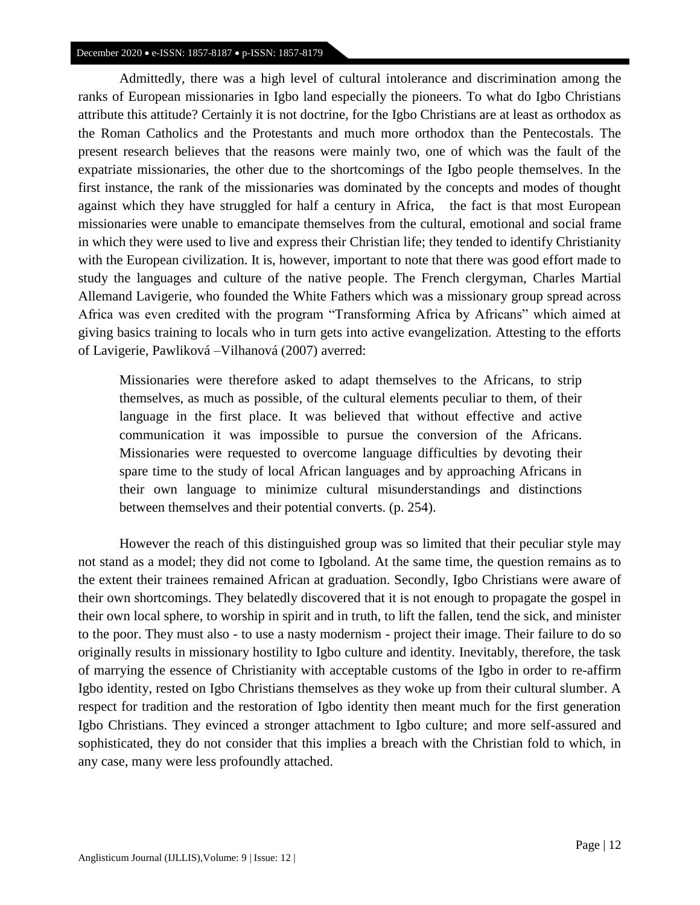Admittedly, there was a high level of cultural intolerance and discrimination among the ranks of European missionaries in Igbo land especially the pioneers. To what do Igbo Christians attribute this attitude? Certainly it is not doctrine, for the Igbo Christians are at least as orthodox as the Roman Catholics and the Protestants and much more orthodox than the Pentecostals. The present research believes that the reasons were mainly two, one of which was the fault of the expatriate missionaries, the other due to the shortcomings of the Igbo people themselves. In the first instance, the rank of the missionaries was dominated by the concepts and modes of thought against which they have struggled for half a century in Africa, the fact is that most European missionaries were unable to emancipate themselves from the cultural, emotional and social frame in which they were used to live and express their Christian life; they tended to identify Christianity with the European civilization. It is, however, important to note that there was good effort made to study the languages and culture of the native people. The French clergyman, Charles Martial Allemand Lavigerie, who founded the White Fathers which was a missionary group spread across Africa was even credited with the program "Transforming Africa by Africans" which aimed at giving basics training to locals who in turn gets into active evangelization. Attesting to the efforts of Lavigerie, Pawliková –Vilhanová (2007) averred:

Missionaries were therefore asked to adapt themselves to the Africans, to strip themselves, as much as possible, of the cultural elements peculiar to them, of their language in the first place. It was believed that without effective and active communication it was impossible to pursue the conversion of the Africans. Missionaries were requested to overcome language difficulties by devoting their spare time to the study of local African languages and by approaching Africans in their own language to minimize cultural misunderstandings and distinctions between themselves and their potential converts. (p. 254).

However the reach of this distinguished group was so limited that their peculiar style may not stand as a model; they did not come to Igboland. At the same time, the question remains as to the extent their trainees remained African at graduation. Secondly, Igbo Christians were aware of their own shortcomings. They belatedly discovered that it is not enough to propagate the gospel in their own local sphere, to worship in spirit and in truth, to lift the fallen, tend the sick, and minister to the poor. They must also - to use a nasty modernism - project their image. Their failure to do so originally results in missionary hostility to Igbo culture and identity. Inevitably, therefore, the task of marrying the essence of Christianity with acceptable customs of the Igbo in order to re-affirm Igbo identity, rested on Igbo Christians themselves as they woke up from their cultural slumber. A respect for tradition and the restoration of Igbo identity then meant much for the first generation Igbo Christians. They evinced a stronger attachment to Igbo culture; and more self-assured and sophisticated, they do not consider that this implies a breach with the Christian fold to which, in any case, many were less profoundly attached.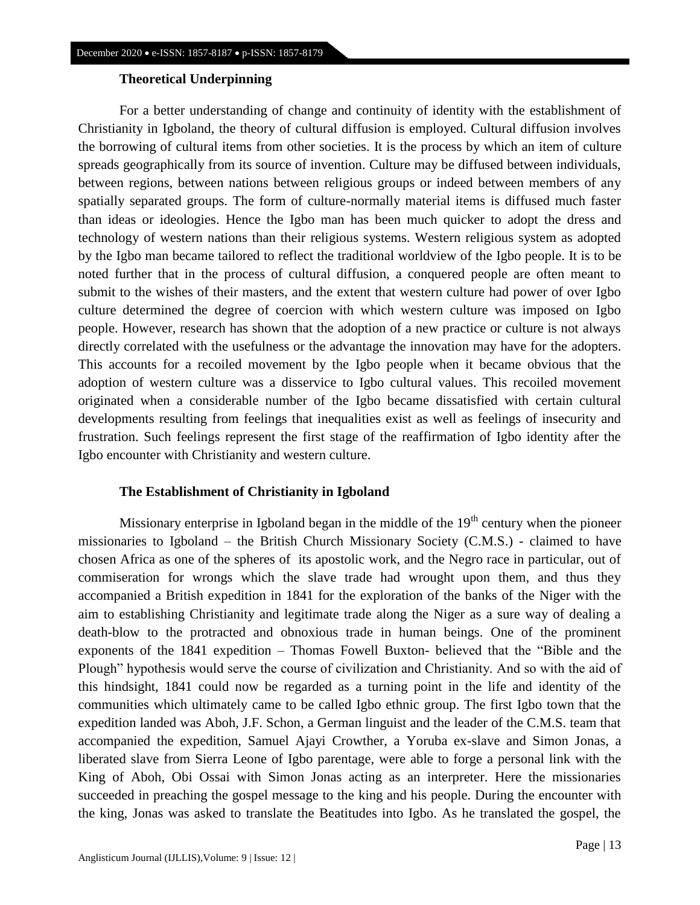## **Theoretical Underpinning**

For a better understanding of change and continuity of identity with the establishment of Christianity in Igboland, the theory of cultural diffusion is employed. Cultural diffusion involves the borrowing of cultural items from other societies. It is the process by which an item of culture spreads geographically from its source of invention. Culture may be diffused between individuals, between regions, between nations between religious groups or indeed between members of any spatially separated groups. The form of culture-normally material items is diffused much faster than ideas or ideologies. Hence the Igbo man has been much quicker to adopt the dress and technology of western nations than their religious systems. Western religious system as adopted by the Igbo man became tailored to reflect the traditional worldview of the Igbo people. It is to be noted further that in the process of cultural diffusion, a conquered people are often meant to submit to the wishes of their masters, and the extent that western culture had power of over Igbo culture determined the degree of coercion with which western culture was imposed on Igbo people. However, research has shown that the adoption of a new practice or culture is not always directly correlated with the usefulness or the advantage the innovation may have for the adopters. This accounts for a recoiled movement by the Igbo people when it became obvious that the adoption of western culture was a disservice to Igbo cultural values. This recoiled movement originated when a considerable number of the Igbo became dissatisfied with certain cultural developments resulting from feelings that inequalities exist as well as feelings of insecurity and frustration. Such feelings represent the first stage of the reaffirmation of Igbo identity after the Igbo encounter with Christianity and western culture.

## **The Establishment of Christianity in Igboland**

Missionary enterprise in Igboland began in the middle of the  $19<sup>th</sup>$  century when the pioneer missionaries to Igboland – the British Church Missionary Society (C.M.S.) - claimed to have chosen Africa as one of the spheres of its apostolic work, and the Negro race in particular, out of commiseration for wrongs which the slave trade had wrought upon them, and thus they accompanied a British expedition in 1841 for the exploration of the banks of the Niger with the aim to establishing Christianity and legitimate trade along the Niger as a sure way of dealing a death-blow to the protracted and obnoxious trade in human beings. One of the prominent exponents of the 1841 expedition – Thomas Fowell Buxton- believed that the "Bible and the Plough" hypothesis would serve the course of civilization and Christianity. And so with the aid of this hindsight, 1841 could now be regarded as a turning point in the life and identity of the communities which ultimately came to be called Igbo ethnic group. The first Igbo town that the expedition landed was Aboh, J.F. Schon, a German linguist and the leader of the C.M.S. team that accompanied the expedition, Samuel Ajayi Crowther, a Yoruba ex-slave and Simon Jonas, a liberated slave from Sierra Leone of Igbo parentage, were able to forge a personal link with the King of Aboh, Obi Ossai with Simon Jonas acting as an interpreter. Here the missionaries succeeded in preaching the gospel message to the king and his people. During the encounter with the king, Jonas was asked to translate the Beatitudes into Igbo. As he translated the gospel, the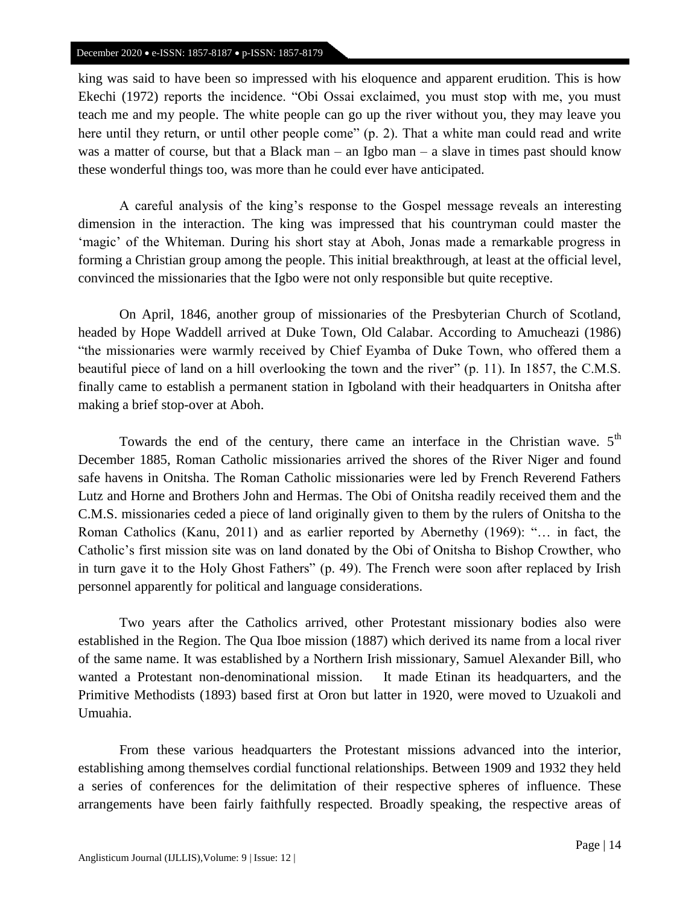king was said to have been so impressed with his eloquence and apparent erudition. This is how Ekechi (1972) reports the incidence. "Obi Ossai exclaimed, you must stop with me, you must teach me and my people. The white people can go up the river without you, they may leave you here until they return, or until other people come" (p. 2). That a white man could read and write was a matter of course, but that a Black man – an Igbo man – a slave in times past should know these wonderful things too, was more than he could ever have anticipated.

A careful analysis of the king's response to the Gospel message reveals an interesting dimension in the interaction. The king was impressed that his countryman could master the 'magic' of the Whiteman. During his short stay at Aboh, Jonas made a remarkable progress in forming a Christian group among the people. This initial breakthrough, at least at the official level, convinced the missionaries that the Igbo were not only responsible but quite receptive.

On April, 1846, another group of missionaries of the Presbyterian Church of Scotland, headed by Hope Waddell arrived at Duke Town, Old Calabar. According to Amucheazi (1986) "the missionaries were warmly received by Chief Eyamba of Duke Town, who offered them a beautiful piece of land on a hill overlooking the town and the river" (p. 11). In 1857, the C.M.S. finally came to establish a permanent station in Igboland with their headquarters in Onitsha after making a brief stop-over at Aboh.

Towards the end of the century, there came an interface in the Christian wave.  $5<sup>th</sup>$ December 1885, Roman Catholic missionaries arrived the shores of the River Niger and found safe havens in Onitsha. The Roman Catholic missionaries were led by French Reverend Fathers Lutz and Horne and Brothers John and Hermas. The Obi of Onitsha readily received them and the C.M.S. missionaries ceded a piece of land originally given to them by the rulers of Onitsha to the Roman Catholics (Kanu, 2011) and as earlier reported by Abernethy (1969): "… in fact, the Catholic's first mission site was on land donated by the Obi of Onitsha to Bishop Crowther, who in turn gave it to the Holy Ghost Fathers" (p. 49). The French were soon after replaced by Irish personnel apparently for political and language considerations.

Two years after the Catholics arrived, other Protestant missionary bodies also were established in the Region. The Qua Iboe mission (1887) which derived its name from a local river of the same name. It was established by a Northern Irish missionary, Samuel Alexander Bill, who wanted a Protestant non-denominational mission. It made Etinan its headquarters, and the Primitive Methodists (1893) based first at Oron but latter in 1920, were moved to Uzuakoli and Umuahia.

From these various headquarters the Protestant missions advanced into the interior, establishing among themselves cordial functional relationships. Between 1909 and 1932 they held a series of conferences for the delimitation of their respective spheres of influence. These arrangements have been fairly faithfully respected. Broadly speaking, the respective areas of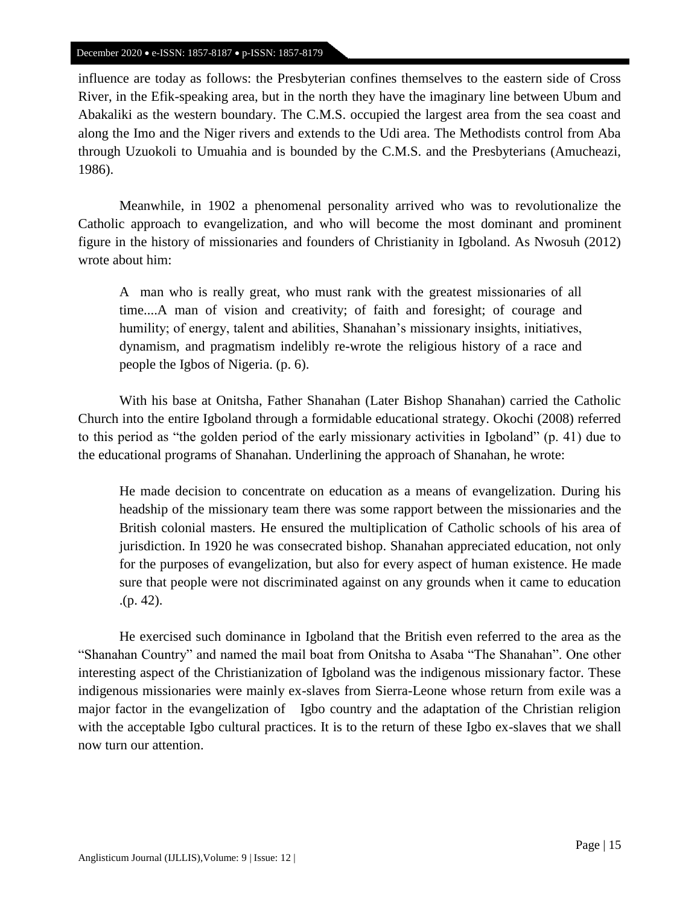influence are today as follows: the Presbyterian confines themselves to the eastern side of Cross River, in the Efik-speaking area, but in the north they have the imaginary line between Ubum and Abakaliki as the western boundary. The C.M.S. occupied the largest area from the sea coast and along the Imo and the Niger rivers and extends to the Udi area. The Methodists control from Aba through Uzuokoli to Umuahia and is bounded by the C.M.S. and the Presbyterians (Amucheazi, 1986).

Meanwhile, in 1902 a phenomenal personality arrived who was to revolutionalize the Catholic approach to evangelization, and who will become the most dominant and prominent figure in the history of missionaries and founders of Christianity in Igboland. As Nwosuh (2012) wrote about him:

A man who is really great, who must rank with the greatest missionaries of all time....A man of vision and creativity; of faith and foresight; of courage and humility; of energy, talent and abilities, Shanahan's missionary insights, initiatives, dynamism, and pragmatism indelibly re-wrote the religious history of a race and people the Igbos of Nigeria. (p. 6).

With his base at Onitsha, Father Shanahan (Later Bishop Shanahan) carried the Catholic Church into the entire Igboland through a formidable educational strategy. Okochi (2008) referred to this period as "the golden period of the early missionary activities in Igboland" (p. 41) due to the educational programs of Shanahan. Underlining the approach of Shanahan, he wrote:

He made decision to concentrate on education as a means of evangelization. During his headship of the missionary team there was some rapport between the missionaries and the British colonial masters. He ensured the multiplication of Catholic schools of his area of jurisdiction. In 1920 he was consecrated bishop. Shanahan appreciated education, not only for the purposes of evangelization, but also for every aspect of human existence. He made sure that people were not discriminated against on any grounds when it came to education .(p. 42).

He exercised such dominance in Igboland that the British even referred to the area as the "Shanahan Country" and named the mail boat from Onitsha to Asaba "The Shanahan". One other interesting aspect of the Christianization of Igboland was the indigenous missionary factor. These indigenous missionaries were mainly ex-slaves from Sierra-Leone whose return from exile was a major factor in the evangelization of Igbo country and the adaptation of the Christian religion with the acceptable Igbo cultural practices. It is to the return of these Igbo ex-slaves that we shall now turn our attention.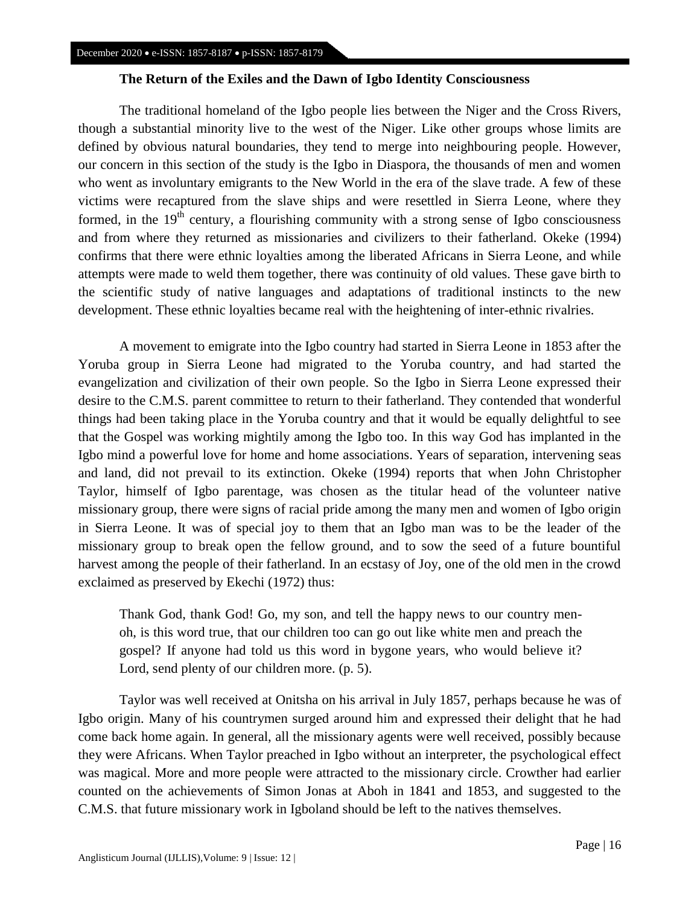## **The Return of the Exiles and the Dawn of Igbo Identity Consciousness**

The traditional homeland of the Igbo people lies between the Niger and the Cross Rivers, though a substantial minority live to the west of the Niger. Like other groups whose limits are defined by obvious natural boundaries, they tend to merge into neighbouring people. However, our concern in this section of the study is the Igbo in Diaspora, the thousands of men and women who went as involuntary emigrants to the New World in the era of the slave trade. A few of these victims were recaptured from the slave ships and were resettled in Sierra Leone, where they formed, in the  $19<sup>th</sup>$  century, a flourishing community with a strong sense of Igbo consciousness and from where they returned as missionaries and civilizers to their fatherland. Okeke (1994) confirms that there were ethnic loyalties among the liberated Africans in Sierra Leone, and while attempts were made to weld them together, there was continuity of old values. These gave birth to the scientific study of native languages and adaptations of traditional instincts to the new development. These ethnic loyalties became real with the heightening of inter-ethnic rivalries.

A movement to emigrate into the Igbo country had started in Sierra Leone in 1853 after the Yoruba group in Sierra Leone had migrated to the Yoruba country, and had started the evangelization and civilization of their own people. So the Igbo in Sierra Leone expressed their desire to the C.M.S. parent committee to return to their fatherland. They contended that wonderful things had been taking place in the Yoruba country and that it would be equally delightful to see that the Gospel was working mightily among the Igbo too. In this way God has implanted in the Igbo mind a powerful love for home and home associations. Years of separation, intervening seas and land, did not prevail to its extinction. Okeke (1994) reports that when John Christopher Taylor, himself of Igbo parentage, was chosen as the titular head of the volunteer native missionary group, there were signs of racial pride among the many men and women of Igbo origin in Sierra Leone. It was of special joy to them that an Igbo man was to be the leader of the missionary group to break open the fellow ground, and to sow the seed of a future bountiful harvest among the people of their fatherland. In an ecstasy of Joy, one of the old men in the crowd exclaimed as preserved by Ekechi (1972) thus:

Thank God, thank God! Go, my son, and tell the happy news to our country menoh, is this word true, that our children too can go out like white men and preach the gospel? If anyone had told us this word in bygone years, who would believe it? Lord, send plenty of our children more. (p. 5).

Taylor was well received at Onitsha on his arrival in July 1857, perhaps because he was of Igbo origin. Many of his countrymen surged around him and expressed their delight that he had come back home again. In general, all the missionary agents were well received, possibly because they were Africans. When Taylor preached in Igbo without an interpreter, the psychological effect was magical. More and more people were attracted to the missionary circle. Crowther had earlier counted on the achievements of Simon Jonas at Aboh in 1841 and 1853, and suggested to the C.M.S. that future missionary work in Igboland should be left to the natives themselves.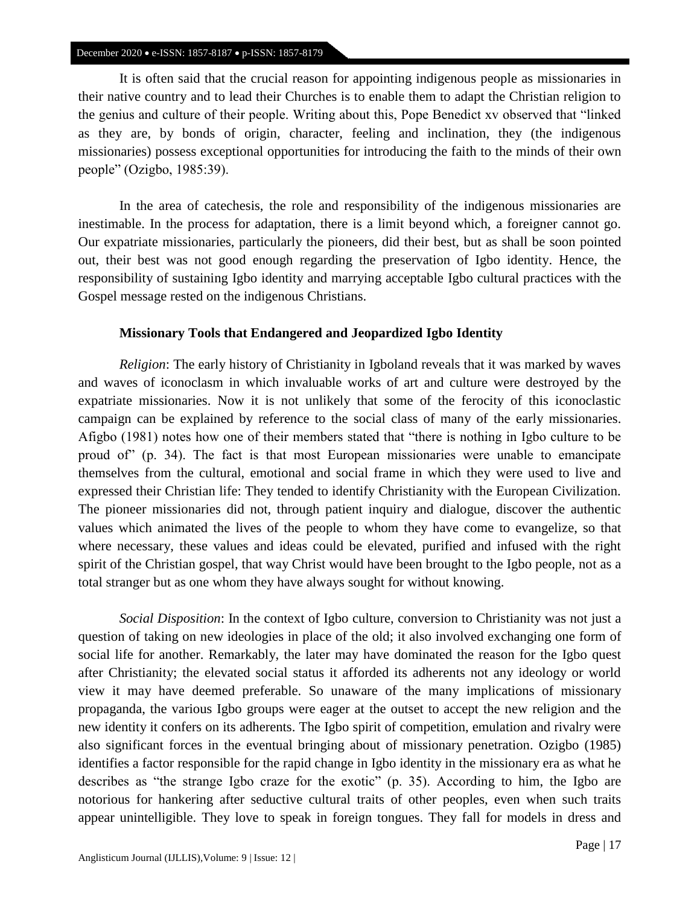It is often said that the crucial reason for appointing indigenous people as missionaries in their native country and to lead their Churches is to enable them to adapt the Christian religion to the genius and culture of their people. Writing about this, Pope Benedict xv observed that "linked as they are, by bonds of origin, character, feeling and inclination, they (the indigenous missionaries) possess exceptional opportunities for introducing the faith to the minds of their own people" (Ozigbo, 1985:39).

In the area of catechesis, the role and responsibility of the indigenous missionaries are inestimable. In the process for adaptation, there is a limit beyond which, a foreigner cannot go. Our expatriate missionaries, particularly the pioneers, did their best, but as shall be soon pointed out, their best was not good enough regarding the preservation of Igbo identity. Hence, the responsibility of sustaining Igbo identity and marrying acceptable Igbo cultural practices with the Gospel message rested on the indigenous Christians.

## **Missionary Tools that Endangered and Jeopardized Igbo Identity**

*Religion*: The early history of Christianity in Igboland reveals that it was marked by waves and waves of iconoclasm in which invaluable works of art and culture were destroyed by the expatriate missionaries. Now it is not unlikely that some of the ferocity of this iconoclastic campaign can be explained by reference to the social class of many of the early missionaries. Afigbo (1981) notes how one of their members stated that "there is nothing in Igbo culture to be proud of" (p. 34). The fact is that most European missionaries were unable to emancipate themselves from the cultural, emotional and social frame in which they were used to live and expressed their Christian life: They tended to identify Christianity with the European Civilization. The pioneer missionaries did not, through patient inquiry and dialogue, discover the authentic values which animated the lives of the people to whom they have come to evangelize, so that where necessary, these values and ideas could be elevated, purified and infused with the right spirit of the Christian gospel, that way Christ would have been brought to the Igbo people, not as a total stranger but as one whom they have always sought for without knowing.

*Social Disposition*: In the context of Igbo culture, conversion to Christianity was not just a question of taking on new ideologies in place of the old; it also involved exchanging one form of social life for another. Remarkably, the later may have dominated the reason for the Igbo quest after Christianity; the elevated social status it afforded its adherents not any ideology or world view it may have deemed preferable. So unaware of the many implications of missionary propaganda, the various Igbo groups were eager at the outset to accept the new religion and the new identity it confers on its adherents. The Igbo spirit of competition, emulation and rivalry were also significant forces in the eventual bringing about of missionary penetration. Ozigbo (1985) identifies a factor responsible for the rapid change in Igbo identity in the missionary era as what he describes as "the strange Igbo craze for the exotic" (p. 35). According to him, the Igbo are notorious for hankering after seductive cultural traits of other peoples, even when such traits appear unintelligible. They love to speak in foreign tongues. They fall for models in dress and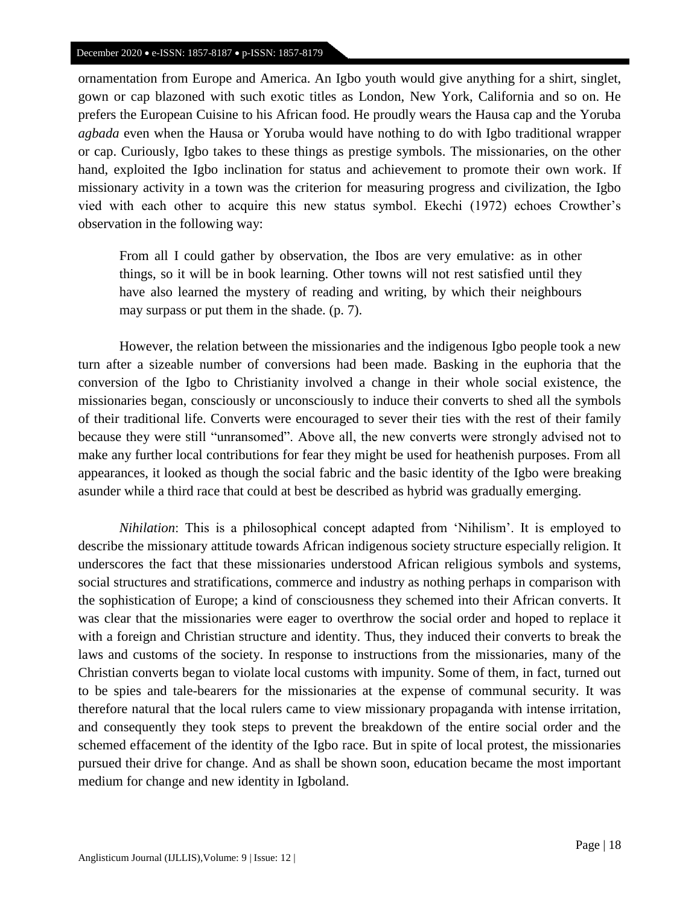ornamentation from Europe and America. An Igbo youth would give anything for a shirt, singlet, gown or cap blazoned with such exotic titles as London, New York, California and so on. He prefers the European Cuisine to his African food. He proudly wears the Hausa cap and the Yoruba *agbada* even when the Hausa or Yoruba would have nothing to do with Igbo traditional wrapper or cap. Curiously, Igbo takes to these things as prestige symbols. The missionaries, on the other hand, exploited the Igbo inclination for status and achievement to promote their own work. If missionary activity in a town was the criterion for measuring progress and civilization, the Igbo vied with each other to acquire this new status symbol. Ekechi (1972) echoes Crowther's observation in the following way:

From all I could gather by observation, the Ibos are very emulative: as in other things, so it will be in book learning. Other towns will not rest satisfied until they have also learned the mystery of reading and writing, by which their neighbours may surpass or put them in the shade. (p. 7).

However, the relation between the missionaries and the indigenous Igbo people took a new turn after a sizeable number of conversions had been made. Basking in the euphoria that the conversion of the Igbo to Christianity involved a change in their whole social existence, the missionaries began, consciously or unconsciously to induce their converts to shed all the symbols of their traditional life. Converts were encouraged to sever their ties with the rest of their family because they were still "unransomed". Above all, the new converts were strongly advised not to make any further local contributions for fear they might be used for heathenish purposes. From all appearances, it looked as though the social fabric and the basic identity of the Igbo were breaking asunder while a third race that could at best be described as hybrid was gradually emerging.

*Nihilation*: This is a philosophical concept adapted from 'Nihilism'. It is employed to describe the missionary attitude towards African indigenous society structure especially religion. It underscores the fact that these missionaries understood African religious symbols and systems, social structures and stratifications, commerce and industry as nothing perhaps in comparison with the sophistication of Europe; a kind of consciousness they schemed into their African converts. It was clear that the missionaries were eager to overthrow the social order and hoped to replace it with a foreign and Christian structure and identity. Thus, they induced their converts to break the laws and customs of the society. In response to instructions from the missionaries, many of the Christian converts began to violate local customs with impunity. Some of them, in fact, turned out to be spies and tale-bearers for the missionaries at the expense of communal security. It was therefore natural that the local rulers came to view missionary propaganda with intense irritation, and consequently they took steps to prevent the breakdown of the entire social order and the schemed effacement of the identity of the Igbo race. But in spite of local protest, the missionaries pursued their drive for change. And as shall be shown soon, education became the most important medium for change and new identity in Igboland.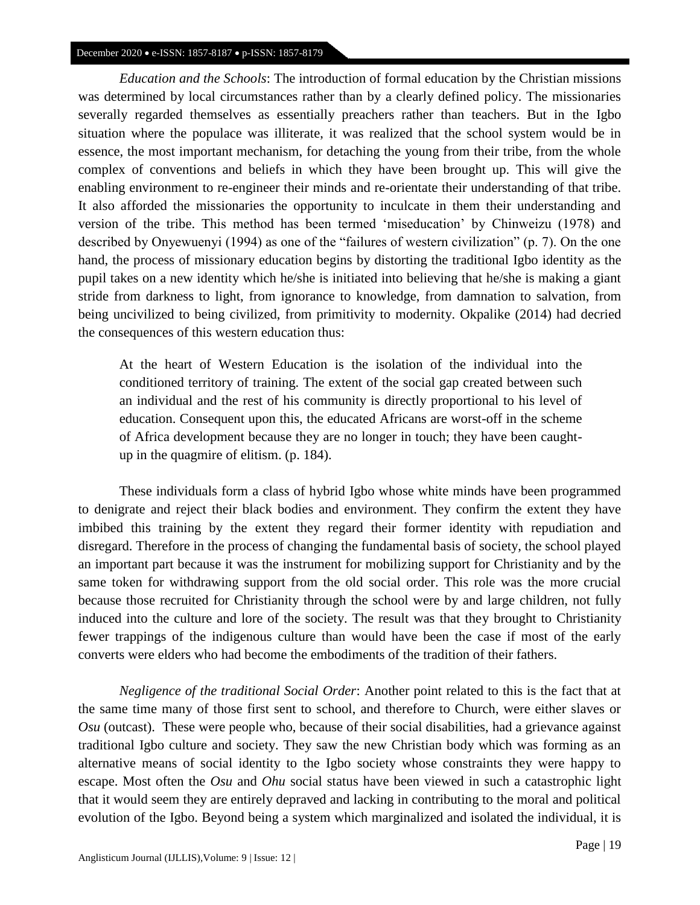*Education and the Schools*: The introduction of formal education by the Christian missions was determined by local circumstances rather than by a clearly defined policy. The missionaries severally regarded themselves as essentially preachers rather than teachers. But in the Igbo situation where the populace was illiterate, it was realized that the school system would be in essence, the most important mechanism, for detaching the young from their tribe, from the whole complex of conventions and beliefs in which they have been brought up. This will give the enabling environment to re-engineer their minds and re-orientate their understanding of that tribe. It also afforded the missionaries the opportunity to inculcate in them their understanding and version of the tribe. This method has been termed 'miseducation' by Chinweizu (1978) and described by Onyewuenyi (1994) as one of the "failures of western civilization" (p. 7). On the one hand, the process of missionary education begins by distorting the traditional Igbo identity as the pupil takes on a new identity which he/she is initiated into believing that he/she is making a giant stride from darkness to light, from ignorance to knowledge, from damnation to salvation, from being uncivilized to being civilized, from primitivity to modernity. Okpalike (2014) had decried the consequences of this western education thus:

At the heart of Western Education is the isolation of the individual into the conditioned territory of training. The extent of the social gap created between such an individual and the rest of his community is directly proportional to his level of education. Consequent upon this, the educated Africans are worst-off in the scheme of Africa development because they are no longer in touch; they have been caughtup in the quagmire of elitism. (p. 184).

These individuals form a class of hybrid Igbo whose white minds have been programmed to denigrate and reject their black bodies and environment. They confirm the extent they have imbibed this training by the extent they regard their former identity with repudiation and disregard. Therefore in the process of changing the fundamental basis of society, the school played an important part because it was the instrument for mobilizing support for Christianity and by the same token for withdrawing support from the old social order. This role was the more crucial because those recruited for Christianity through the school were by and large children, not fully induced into the culture and lore of the society. The result was that they brought to Christianity fewer trappings of the indigenous culture than would have been the case if most of the early converts were elders who had become the embodiments of the tradition of their fathers.

*Negligence of the traditional Social Order*: Another point related to this is the fact that at the same time many of those first sent to school, and therefore to Church, were either slaves or *Osu* (outcast). These were people who, because of their social disabilities, had a grievance against traditional Igbo culture and society. They saw the new Christian body which was forming as an alternative means of social identity to the Igbo society whose constraints they were happy to escape. Most often the *Osu* and *Ohu* social status have been viewed in such a catastrophic light that it would seem they are entirely depraved and lacking in contributing to the moral and political evolution of the Igbo. Beyond being a system which marginalized and isolated the individual, it is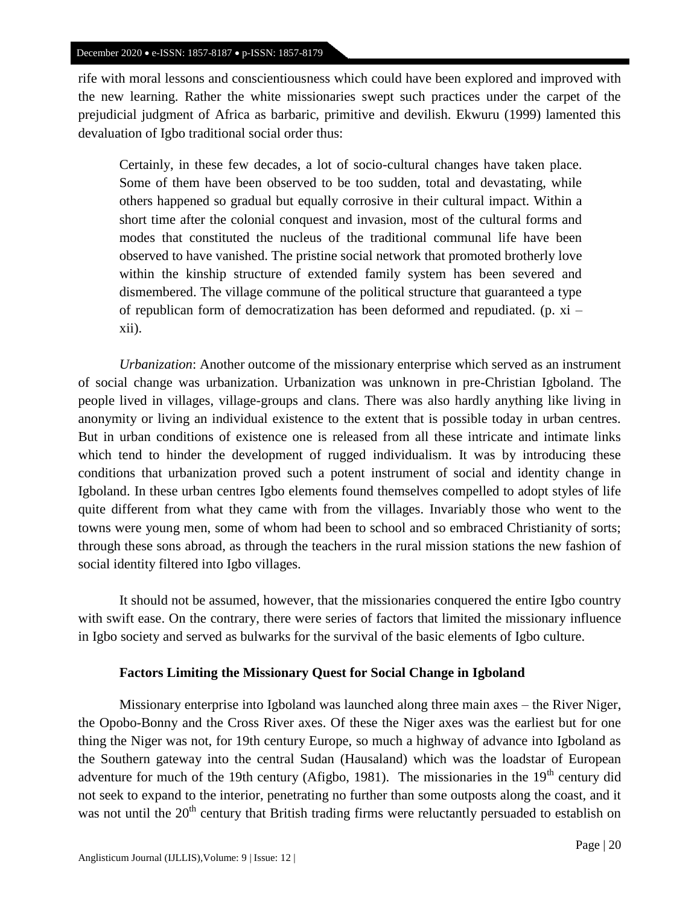rife with moral lessons and conscientiousness which could have been explored and improved with the new learning. Rather the white missionaries swept such practices under the carpet of the prejudicial judgment of Africa as barbaric, primitive and devilish. Ekwuru (1999) lamented this devaluation of Igbo traditional social order thus:

Certainly, in these few decades, a lot of socio-cultural changes have taken place. Some of them have been observed to be too sudden, total and devastating, while others happened so gradual but equally corrosive in their cultural impact. Within a short time after the colonial conquest and invasion, most of the cultural forms and modes that constituted the nucleus of the traditional communal life have been observed to have vanished. The pristine social network that promoted brotherly love within the kinship structure of extended family system has been severed and dismembered. The village commune of the political structure that guaranteed a type of republican form of democratization has been deformed and repudiated. (p. xi – xii).

*Urbanization*: Another outcome of the missionary enterprise which served as an instrument of social change was urbanization. Urbanization was unknown in pre-Christian Igboland. The people lived in villages, village-groups and clans. There was also hardly anything like living in anonymity or living an individual existence to the extent that is possible today in urban centres. But in urban conditions of existence one is released from all these intricate and intimate links which tend to hinder the development of rugged individualism. It was by introducing these conditions that urbanization proved such a potent instrument of social and identity change in Igboland. In these urban centres Igbo elements found themselves compelled to adopt styles of life quite different from what they came with from the villages. Invariably those who went to the towns were young men, some of whom had been to school and so embraced Christianity of sorts; through these sons abroad, as through the teachers in the rural mission stations the new fashion of social identity filtered into Igbo villages.

It should not be assumed, however, that the missionaries conquered the entire Igbo country with swift ease. On the contrary, there were series of factors that limited the missionary influence in Igbo society and served as bulwarks for the survival of the basic elements of Igbo culture.

## **Factors Limiting the Missionary Quest for Social Change in Igboland**

Missionary enterprise into Igboland was launched along three main axes – the River Niger, the Opobo-Bonny and the Cross River axes. Of these the Niger axes was the earliest but for one thing the Niger was not, for 19th century Europe, so much a highway of advance into Igboland as the Southern gateway into the central Sudan (Hausaland) which was the loadstar of European adventure for much of the 19th century (Afigbo, 1981). The missionaries in the  $19<sup>th</sup>$  century did not seek to expand to the interior, penetrating no further than some outposts along the coast, and it was not until the  $20<sup>th</sup>$  century that British trading firms were reluctantly persuaded to establish on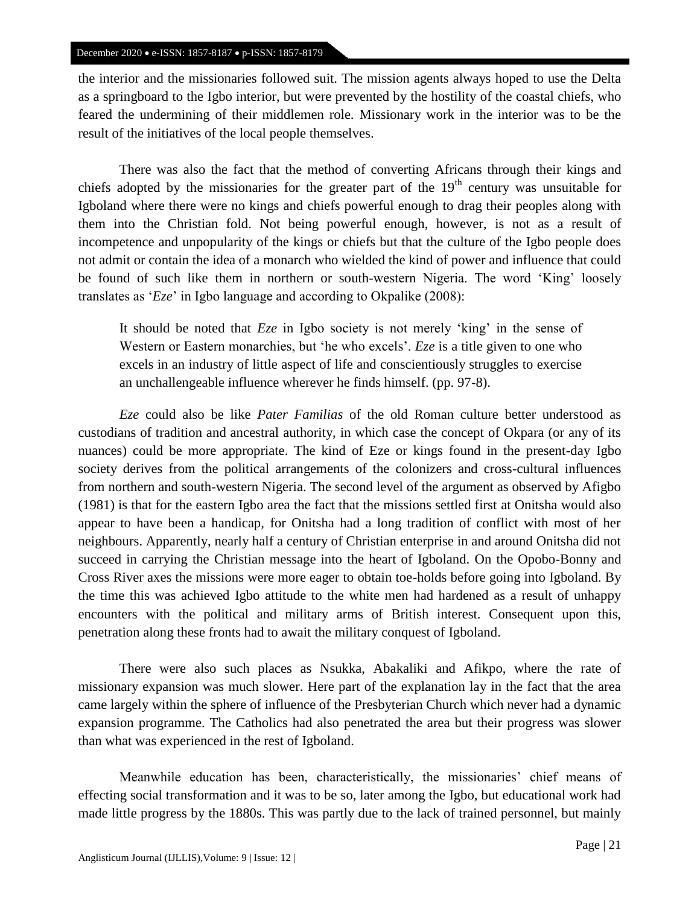the interior and the missionaries followed suit. The mission agents always hoped to use the Delta as a springboard to the Igbo interior, but were prevented by the hostility of the coastal chiefs, who feared the undermining of their middlemen role. Missionary work in the interior was to be the result of the initiatives of the local people themselves.

There was also the fact that the method of converting Africans through their kings and chiefs adopted by the missionaries for the greater part of the  $19<sup>th</sup>$  century was unsuitable for Igboland where there were no kings and chiefs powerful enough to drag their peoples along with them into the Christian fold. Not being powerful enough, however, is not as a result of incompetence and unpopularity of the kings or chiefs but that the culture of the Igbo people does not admit or contain the idea of a monarch who wielded the kind of power and influence that could be found of such like them in northern or south-western Nigeria. The word 'King' loosely translates as '*Eze*' in Igbo language and according to Okpalike (2008):

It should be noted that *Eze* in Igbo society is not merely 'king' in the sense of Western or Eastern monarchies, but 'he who excels'. *Eze* is a title given to one who excels in an industry of little aspect of life and conscientiously struggles to exercise an unchallengeable influence wherever he finds himself. (pp. 97-8).

*Eze* could also be like *Pater Familias* of the old Roman culture better understood as custodians of tradition and ancestral authority, in which case the concept of Okpara (or any of its nuances) could be more appropriate. The kind of Eze or kings found in the present-day Igbo society derives from the political arrangements of the colonizers and cross-cultural influences from northern and south-western Nigeria. The second level of the argument as observed by Afigbo (1981) is that for the eastern Igbo area the fact that the missions settled first at Onitsha would also appear to have been a handicap, for Onitsha had a long tradition of conflict with most of her neighbours. Apparently, nearly half a century of Christian enterprise in and around Onitsha did not succeed in carrying the Christian message into the heart of Igboland. On the Opobo-Bonny and Cross River axes the missions were more eager to obtain toe-holds before going into Igboland. By the time this was achieved Igbo attitude to the white men had hardened as a result of unhappy encounters with the political and military arms of British interest. Consequent upon this, penetration along these fronts had to await the military conquest of Igboland.

There were also such places as Nsukka, Abakaliki and Afikpo, where the rate of missionary expansion was much slower. Here part of the explanation lay in the fact that the area came largely within the sphere of influence of the Presbyterian Church which never had a dynamic expansion programme. The Catholics had also penetrated the area but their progress was slower than what was experienced in the rest of Igboland.

Meanwhile education has been, characteristically, the missionaries' chief means of effecting social transformation and it was to be so, later among the Igbo, but educational work had made little progress by the 1880s. This was partly due to the lack of trained personnel, but mainly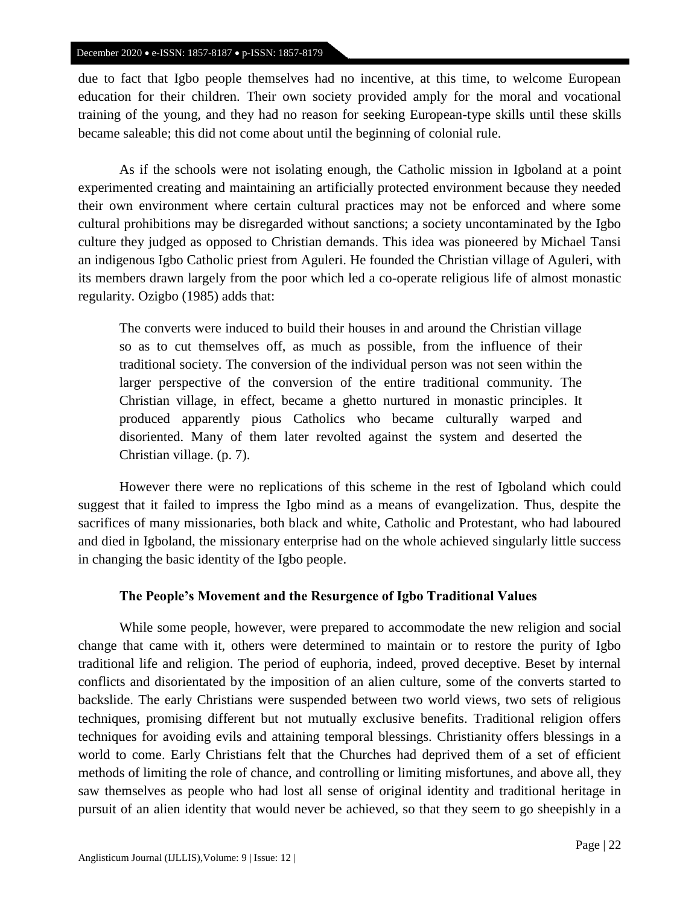due to fact that Igbo people themselves had no incentive, at this time, to welcome European education for their children. Their own society provided amply for the moral and vocational training of the young, and they had no reason for seeking European-type skills until these skills became saleable; this did not come about until the beginning of colonial rule.

As if the schools were not isolating enough, the Catholic mission in Igboland at a point experimented creating and maintaining an artificially protected environment because they needed their own environment where certain cultural practices may not be enforced and where some cultural prohibitions may be disregarded without sanctions; a society uncontaminated by the Igbo culture they judged as opposed to Christian demands. This idea was pioneered by Michael Tansi an indigenous Igbo Catholic priest from Aguleri. He founded the Christian village of Aguleri, with its members drawn largely from the poor which led a co-operate religious life of almost monastic regularity. Ozigbo (1985) adds that:

The converts were induced to build their houses in and around the Christian village so as to cut themselves off, as much as possible, from the influence of their traditional society. The conversion of the individual person was not seen within the larger perspective of the conversion of the entire traditional community. The Christian village, in effect, became a ghetto nurtured in monastic principles. It produced apparently pious Catholics who became culturally warped and disoriented. Many of them later revolted against the system and deserted the Christian village. (p. 7).

However there were no replications of this scheme in the rest of Igboland which could suggest that it failed to impress the Igbo mind as a means of evangelization. Thus, despite the sacrifices of many missionaries, both black and white, Catholic and Protestant, who had laboured and died in Igboland, the missionary enterprise had on the whole achieved singularly little success in changing the basic identity of the Igbo people.

## **The People's Movement and the Resurgence of Igbo Traditional Values**

While some people, however, were prepared to accommodate the new religion and social change that came with it, others were determined to maintain or to restore the purity of Igbo traditional life and religion. The period of euphoria, indeed, proved deceptive. Beset by internal conflicts and disorientated by the imposition of an alien culture, some of the converts started to backslide. The early Christians were suspended between two world views, two sets of religious techniques, promising different but not mutually exclusive benefits. Traditional religion offers techniques for avoiding evils and attaining temporal blessings. Christianity offers blessings in a world to come. Early Christians felt that the Churches had deprived them of a set of efficient methods of limiting the role of chance, and controlling or limiting misfortunes, and above all, they saw themselves as people who had lost all sense of original identity and traditional heritage in pursuit of an alien identity that would never be achieved, so that they seem to go sheepishly in a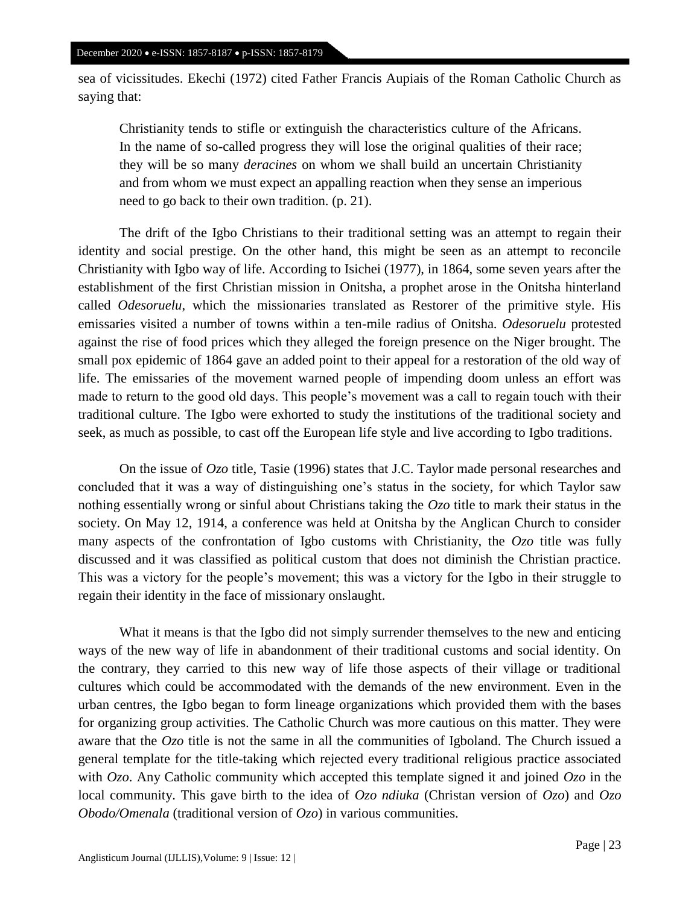sea of vicissitudes. Ekechi (1972) cited Father Francis Aupiais of the Roman Catholic Church as saying that:

Christianity tends to stifle or extinguish the characteristics culture of the Africans. In the name of so-called progress they will lose the original qualities of their race; they will be so many *deracines* on whom we shall build an uncertain Christianity and from whom we must expect an appalling reaction when they sense an imperious need to go back to their own tradition. (p. 21).

The drift of the Igbo Christians to their traditional setting was an attempt to regain their identity and social prestige. On the other hand, this might be seen as an attempt to reconcile Christianity with Igbo way of life. According to Isichei (1977), in 1864, some seven years after the establishment of the first Christian mission in Onitsha, a prophet arose in the Onitsha hinterland called *Odesoruelu*, which the missionaries translated as Restorer of the primitive style. His emissaries visited a number of towns within a ten-mile radius of Onitsha. *Odesoruelu* protested against the rise of food prices which they alleged the foreign presence on the Niger brought. The small pox epidemic of 1864 gave an added point to their appeal for a restoration of the old way of life. The emissaries of the movement warned people of impending doom unless an effort was made to return to the good old days. This people's movement was a call to regain touch with their traditional culture. The Igbo were exhorted to study the institutions of the traditional society and seek, as much as possible, to cast off the European life style and live according to Igbo traditions.

On the issue of *Ozo* title, Tasie (1996) states that J.C. Taylor made personal researches and concluded that it was a way of distinguishing one's status in the society, for which Taylor saw nothing essentially wrong or sinful about Christians taking the *Ozo* title to mark their status in the society. On May 12, 1914, a conference was held at Onitsha by the Anglican Church to consider many aspects of the confrontation of Igbo customs with Christianity, the *Ozo* title was fully discussed and it was classified as political custom that does not diminish the Christian practice. This was a victory for the people's movement; this was a victory for the Igbo in their struggle to regain their identity in the face of missionary onslaught.

What it means is that the Igbo did not simply surrender themselves to the new and enticing ways of the new way of life in abandonment of their traditional customs and social identity. On the contrary, they carried to this new way of life those aspects of their village or traditional cultures which could be accommodated with the demands of the new environment. Even in the urban centres, the Igbo began to form lineage organizations which provided them with the bases for organizing group activities. The Catholic Church was more cautious on this matter. They were aware that the *Ozo* title is not the same in all the communities of Igboland. The Church issued a general template for the title-taking which rejected every traditional religious practice associated with *Ozo*. Any Catholic community which accepted this template signed it and joined *Ozo* in the local community. This gave birth to the idea of *Ozo ndiuka* (Christan version of *Ozo*) and *Ozo Obodo/Omenala* (traditional version of *Ozo*) in various communities.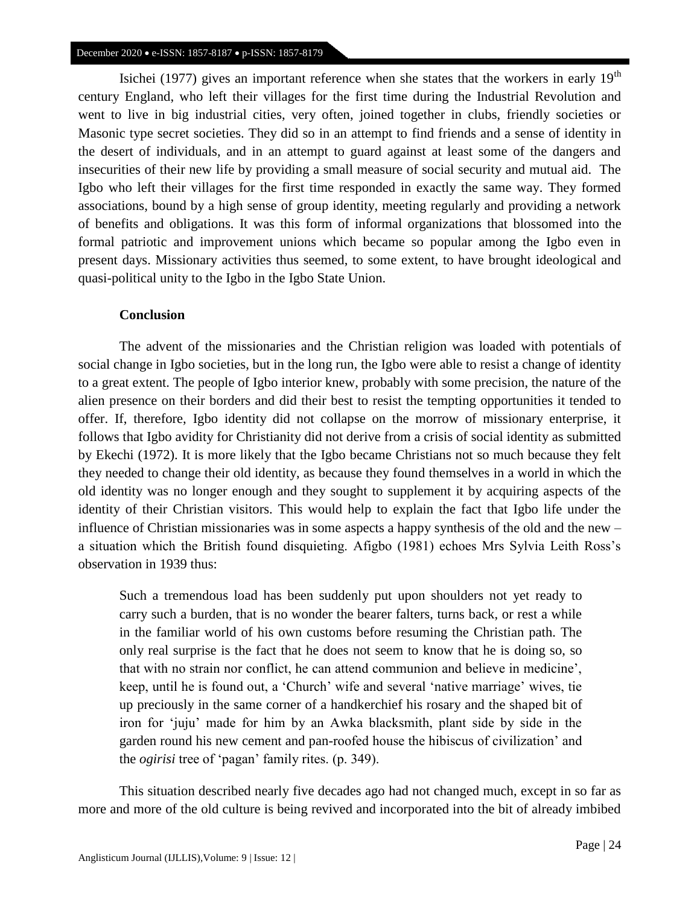Isichei (1977) gives an important reference when she states that the workers in early  $19<sup>th</sup>$ century England, who left their villages for the first time during the Industrial Revolution and went to live in big industrial cities, very often, joined together in clubs, friendly societies or Masonic type secret societies. They did so in an attempt to find friends and a sense of identity in the desert of individuals, and in an attempt to guard against at least some of the dangers and insecurities of their new life by providing a small measure of social security and mutual aid. The Igbo who left their villages for the first time responded in exactly the same way. They formed associations, bound by a high sense of group identity, meeting regularly and providing a network of benefits and obligations. It was this form of informal organizations that blossomed into the formal patriotic and improvement unions which became so popular among the Igbo even in present days. Missionary activities thus seemed, to some extent, to have brought ideological and quasi-political unity to the Igbo in the Igbo State Union.

## **Conclusion**

The advent of the missionaries and the Christian religion was loaded with potentials of social change in Igbo societies, but in the long run, the Igbo were able to resist a change of identity to a great extent. The people of Igbo interior knew, probably with some precision, the nature of the alien presence on their borders and did their best to resist the tempting opportunities it tended to offer. If, therefore, Igbo identity did not collapse on the morrow of missionary enterprise, it follows that Igbo avidity for Christianity did not derive from a crisis of social identity as submitted by Ekechi (1972). It is more likely that the Igbo became Christians not so much because they felt they needed to change their old identity, as because they found themselves in a world in which the old identity was no longer enough and they sought to supplement it by acquiring aspects of the identity of their Christian visitors. This would help to explain the fact that Igbo life under the influence of Christian missionaries was in some aspects a happy synthesis of the old and the new – a situation which the British found disquieting. Afigbo (1981) echoes Mrs Sylvia Leith Ross's observation in 1939 thus:

Such a tremendous load has been suddenly put upon shoulders not yet ready to carry such a burden, that is no wonder the bearer falters, turns back, or rest a while in the familiar world of his own customs before resuming the Christian path. The only real surprise is the fact that he does not seem to know that he is doing so, so that with no strain nor conflict, he can attend communion and believe in medicine', keep, until he is found out, a 'Church' wife and several 'native marriage' wives, tie up preciously in the same corner of a handkerchief his rosary and the shaped bit of iron for 'juju' made for him by an Awka blacksmith, plant side by side in the garden round his new cement and pan-roofed house the hibiscus of civilization' and the *ogirisi* tree of 'pagan' family rites. (p. 349).

This situation described nearly five decades ago had not changed much, except in so far as more and more of the old culture is being revived and incorporated into the bit of already imbibed